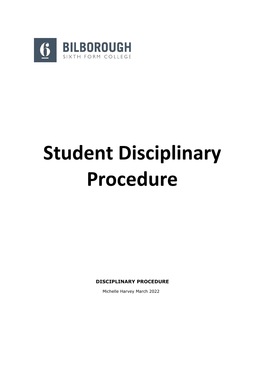

# **Student Disciplinary Procedure**

**DISCIPLINARY PROCEDURE**

Michelle Harvey March 2022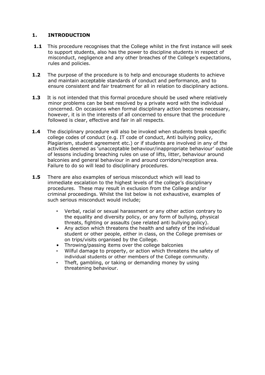# **1. INTRODUCTION**

- **1.1** This procedure recognises that the College whilst in the first instance will seek to support students, also has the power to discipline students in respect of misconduct, negligence and any other breaches of the College's expectations, rules and policies.
- **1.2** The purpose of the procedure is to help and encourage students to achieve and maintain acceptable standards of conduct and performance, and to ensure consistent and fair treatment for all in relation to disciplinary actions.
- **1.3** It is not intended that this formal procedure should be used where relatively minor problems can be best resolved by a private word with the individual concerned. On occasions when formal disciplinary action becomes necessary, however, it is in the interests of all concerned to ensure that the procedure followed is clear, effective and fair in all respects.
- **1.4** The disciplinary procedure will also be invoked when students break specific college codes of conduct (e.g. IT code of conduct, Anti bullying policy, Plagiarism, student agreement etc.) or if students are involved in any of the activities deemed as 'unacceptable behaviour/inappropriate behaviour' outside of lessons including breaching rules on use of lifts, litter, behaviour around balconies and general behaviour in and around corridors/reception area. Failure to do so will lead to disciplinary procedures.
- **1.5** There are also examples of serious misconduct which will lead to immediate escalation to the highest levels of the college's disciplinary procedures. These may result in exclusion from the College and/or criminal proceedings. Whilst the list below is not exhaustive, examples of such serious misconduct would include;
	- Verbal, racial or sexual harassment or any other action contrary to the equality and diversity policy, or any form of bullying, physical threats, fighting or assaults (see related anti bullying policy).
	- Any action which threatens the health and safety of the individual student or other people, either in class, on the College premises or on trips/visits organised by the College.
	- Throwing/passing items over the college balconies
	- Wilful damage to property, or action which threatens the safety of individual students or other members of the College community.
	- Theft, gambling, or taking or demanding money by using threatening behaviour.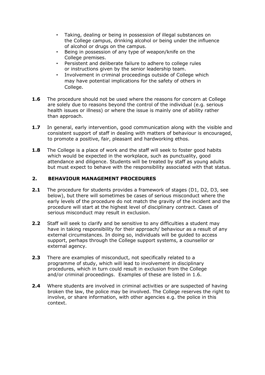- Taking, dealing or being in possession of illegal substances on the College campus, drinking alcohol or being under the influence of alcohol or drugs on the campus.
- Being in possession of any type of weapon/knife on the College premises.
- Persistent and deliberate failure to adhere to college rules or instructions given by the senior leadership team.
- Involvement in criminal proceedings outside of College which may have potential implications for the safety of others in College.
- **1.6** The procedure should not be used where the reasons for concern at College are solely due to reasons beyond the control of the individual (e.g. serious health issues or illness) or where the issue is mainly one of ability rather than approach.
- **1.7** In general, early intervention, good communication along with the visible and consistent support of staff in dealing with matters of behaviour is encouraged, to promote a positive, fair, pleasant and hardworking ethos.
- **1.8** The College is a place of work and the staff will seek to foster good habits which would be expected in the workplace, such as punctuality, good attendance and diligence. Students will be treated by staff as young adults but must expect to behave with the responsibility associated with that status.

# **2. BEHAVIOUR MANAGEMENT PROCEDURES**

- **2.1** The procedure for students provides a framework of stages (D1, D2, D3, see below), but there will sometimes be cases of serious misconduct where the early levels of the procedure do not match the gravity of the incident and the procedure will start at the highest level of disciplinary contract. Cases of serious misconduct may result in exclusion.
- **2.2** Staff will seek to clarify and be sensitive to any difficulties a student may have in taking responsibility for their approach/ behaviour as a result of any external circumstances. In doing so, individuals will be guided to access support, perhaps through the College support systems, a counsellor or external agency.
- **2.3** There are examples of misconduct, not specifically related to a programme of study, which will lead to involvement in disciplinary procedures, which in turn could result in exclusion from the College and/or criminal proceedings. Examples of these are listed in 1.6.
- **2.4** Where students are involved in criminal activities or are suspected of having broken the law, the police may be involved. The College reserves the right to involve, or share information, with other agencies e.g. the police in this context.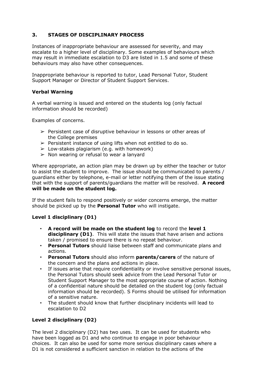# **3. STAGES OF DISCIPLINARY PROCESS**

Instances of inappropriate behaviour are assessed for severity, and may escalate to a higher level of disciplinary. Some examples of behaviours which may result in immediate escalation to D3 are listed in 1.5 and some of these behaviours may also have other consequences.

Inappropriate behaviour is reported to tutor, Lead Personal Tutor, Student Support Manager or Director of Student Support Services.

#### **Verbal Warning**

A verbal warning is issued and entered on the students log (only factual information should be recorded)

Examples of concerns.

- $\triangleright$  Persistent case of disruptive behaviour in lessons or other areas of the College premises
- $\triangleright$  Persistent instance of using lifts when not entitled to do so.
- $\geq$  Low-stakes plagiarism (e.g. with homework)
- $\geq$  Non wearing or refusal to wear a lanyard

Where appropriate, an action plan may be drawn up by either the teacher or tutor to assist the student to improve. The issue should be communicated to parents / guardians either by telephone, e-mail or letter notifying them of the issue stating that with the support of parents/guardians the matter will be resolved. **A record will be made on the student log.**

If the student fails to respond positively or wider concerns emerge, the matter should be picked up by the **Personal Tutor** who will instigate.

#### **Level 1 disciplinary (D1)**

- **A record will be made on the student log** to record the **level 1 disciplinary (D1)**. This will state the issues that have arisen and actions taken / promised to ensure there is no repeat behaviour.
- **Personal Tutors** should liaise between staff and communicate plans and actions.
- **Personal Tutors** should also inform **parents/carers** of the nature of the concern and the plans and actions in place.
- If issues arise that require confidentiality or involve sensitive personal issues, the Personal Tutors should seek advice from the Lead Personal Tutor or Student Support Manager to the most appropriate course of action. Nothing of a confidential nature should be detailed on the student log (only factual information should be recorded). S Forms should be utilised for information of a sensitive nature.
- The student should know that further disciplinary incidents will lead to escalation to D2

# **Level 2 disciplinary (D2)**

The level 2 disciplinary (D2) has two uses. It can be used for students who have been logged as D1 and who continue to engage in poor behaviour choices. It can also be used for some more serious disciplinary cases where a D1 is not considered a sufficient sanction in relation to the actions of the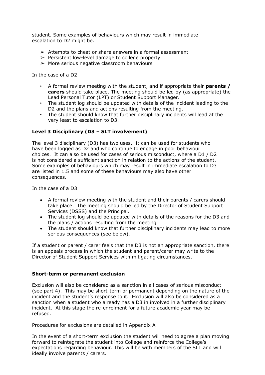student. Some examples of behaviours which may result in immediate escalation to D2 might be.

- $\geq$  Attempts to cheat or share answers in a formal assessment
- $\triangleright$  Persistent low-level damage to college property
- $\triangleright$  More serious negative classroom behaviours

In the case of a D2

- A formal review meeting with the student, and if appropriate their **parents / carers** should take place. The meeting should be led by (as appropriate) the Lead Personal Tutor (LPT) or Student Support Manager.
- The student log should be updated with details of the incident leading to the D2 and the plans and actions resulting from the meeting.
- The student should know that further disciplinary incidents will lead at the very least to escalation to D3.

## **Level 3 Disciplinary (D3 – SLT involvement)**

The level 3 disciplinary (D3) has two uses. It can be used for students who have been logged as D2 and who continue to engage in poor behaviour choices. It can also be used for cases of serious misconduct, where a D1 / D2 is not considered a sufficient sanction in relation to the actions of the student. Some examples of behaviours which may result in immediate escalation to D3 are listed in 1.5 and some of these behaviours may also have other consequences.

In the case of a D3

- A formal review meeting with the student and their parents / carers should take place. The meeting should be led by the Director of Student Support Services (DSSS) and the Principal.
- The student log should be updated with details of the reasons for the D3 and the plans / actions resulting from the meeting
- The student should know that further disciplinary incidents may lead to more serious consequences (see below).

If a student or parent / carer feels that the D3 is not an appropriate sanction, there is an appeals process in which the student and parent/carer may write to the Director of Student Support Services with mitigating circumstances.

#### **Short-term or permanent exclusion**

Exclusion will also be considered as a sanction in all cases of serious misconduct (see part 4). This may be short-term or permanent depending on the nature of the incident and the student's response to it. Exclusion will also be considered as a sanction when a student who already has a D3 in involved in a further disciplinary incident. At this stage the re-enrolment for a future academic year may be refused.

Procedures for exclusions are detailed in Appendix A

In the event of a short-term exclusion the student will need to agree a plan moving forward to reintegrate the student into College and reinforce the College's expectations regarding behaviour. This will be with members of the SLT and will ideally involve parents / carers.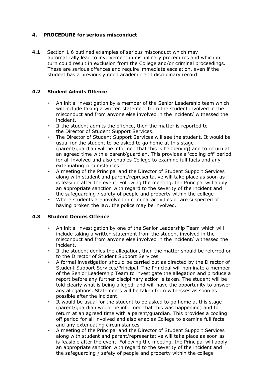# **4. PROCEDURE for serious misconduct**

**4.1** Section 1.6 outlined examples of serious misconduct which may automatically lead to involvement in disciplinary procedures and which in turn could result in exclusion from the College and/or criminal proceedings. These are serious offences and require immediate escalation, even if the student has a previously good academic and disciplinary record.

# **4.2 Student Admits Offence**

- An initial investigation by a member of the Senior Leadership team which will include taking a written statement from the student involved in the misconduct and from anyone else involved in the incident/ witnessed the incident.
- If the student admits the offence, then the matter is reported to the Director of Student Support Services.
- The Director of Student Support Services will see the student. It would be usual for the student to be asked to go home at this stage (parent/guardian will be informed that this is happening) and to return at an agreed time with a parent/guardian. This provides a 'cooling off' period for all involved and also enables College to examine full facts and any extenuating circumstances.
- A meeting of the Principal and the Director of Student Support Services along with student and parent/representative will take place as soon as is feasible after the event. Following the meeting, the Principal will apply an appropriate sanction with regard to the severity of the incident and the safeguarding / safety of people and property within the college
- Where students are involved in criminal activities or are suspected of having broken the law, the police may be involved.

# **4.3 Student Denies Offence**

- An initial investigation by one of the Senior Leadership Team which will include taking a written statement from the student involved in the misconduct and from anyone else involved in the incident/ witnessed the incident.
- If the student denies the allegation, then the matter should be referred on to the Director of Student Support Services
- A formal investigation should be carried out as directed by the Director of Student Support Services/Principal. The Principal will nominate a member of the Senior Leadership Team to investigate the allegation and produce a report before any further disciplinary action is taken. The student will be told clearly what is being alleged, and will have the opportunity to answer any allegations. Statements will be taken from witnesses as soon as possible after the incident.
- It would be usual for the student to be asked to go home at this stage (parent/guardian would be informed that this was happening) and to return at an agreed time with a parent/guardian. This provides a cooling off period for all involved and also enables College to examine full facts and any extenuating circumstances
- A meeting of the Principal and the Director of Student Support Services along with student and parent/representative will take place as soon as is feasible after the event. Following the meeting, the Principal will apply an appropriate sanction with regard to the severity of the incident and the safeguarding / safety of people and property within the college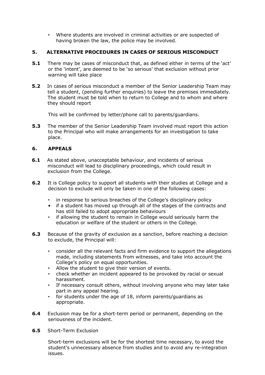• Where students are involved in criminal activities or are suspected of having broken the law, the police may be involved.

# **5. ALTERNATIVE PROCEDURES IN CASES OF SERIOUS MISCONDUCT**

- **5.1** There may be cases of misconduct that, as defined either in terms of the 'act' or the 'intent', are deemed to be 'so serious' that exclusion without prior warning will take place
- **5.2** In cases of serious misconduct a member of the Senior Leadership Team may tell a student, (pending further enquiries) to leave the premises immediately. The student must be told when to return to College and to whom and where they should report

This will be confirmed by letter/phone call to parents/guardians.

**5.3** The member of the Senior Leadership Team involved must report this action to the Principal who will make arrangements for an investigation to take place.

## **6. APPEALS**

- **6.1** As stated above, unacceptable behaviour, and incidents of serious misconduct will lead to disciplinary proceedings, which could result in exclusion from the College.
- **6.2** It is College policy to support all students with their studies at College and a decision to exclude will only be taken in one of the following cases:
	- in response to serious breaches of the College's disciplinary policy
	- if a student has moved up through all of the stages of the contracts and has still failed to adopt appropriate behaviours
	- if allowing the student to remain in College would seriously harm the education or welfare of the student or others in the College.
- **6.3** Because of the gravity of exclusion as a sanction, before reaching a decision to exclude, the Principal will:
	- consider all the relevant facts and firm evidence to support the allegations made, including statements from witnesses, and take into account the College's policy on equal opportunities.
	- Allow the student to give their version of events.
	- check whether an incident appeared to be provoked by racial or sexual harassment.
	- If necessary consult others, without involving anyone who may later take part in any appeal hearing.
	- for students under the age of 18, inform parents/guardians as appropriate.
- **6.4** Exclusion may be for a short-term period or permanent, depending on the seriousness of the incident.
- **6.5** Short-Term Exclusion

Short-term exclusions will be for the shortest time necessary, to avoid the student's unnecessary absence from studies and to avoid any re-integration issues.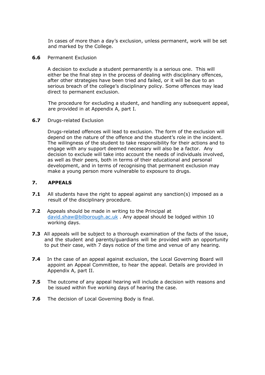In cases of more than a day's exclusion, unless permanent, work will be set and marked by the College.

**6.6** Permanent Exclusion

A decision to exclude a student permanently is a serious one. This will either be the final step in the process of dealing with disciplinary offences, after other strategies have been tried and failed, or it will be due to an serious breach of the college's disciplinary policy. Some offences may lead direct to permanent exclusion.

The procedure for excluding a student, and handling any subsequent appeal, are provided in at Appendix A, part I.

**6.7** Drugs-related Exclusion

Drugs-related offences will lead to exclusion. The form of the exclusion will depend on the nature of the offence and the student's role in the incident. The willingness of the student to take responsibility for their actions and to engage with any support deemed necessary will also be a factor. Any decision to exclude will take into account the needs of individuals involved, as well as their peers, both in terms of their educational and personal development, and in terms of recognising that permanent exclusion may make a young person more vulnerable to exposure to drugs.

## **7. APPEALS**

- **7.1** All students have the right to appeal against any sanction(s) imposed as a result of the disciplinary procedure.
- **7.2** Appeals should be made in writing to the Principal at [david.shaw@bilborough.ac.uk](mailto:david.shaw@bilborough.ac.uk) . Any appeal should be lodged within 10 working days.
- **7.3** All appeals will be subject to a thorough examination of the facts of the issue, and the student and parents/guardians will be provided with an opportunity to put their case, with 7 days notice of the time and venue of any hearing.
- **7.4** In the case of an appeal against exclusion, the Local Governing Board will appoint an Appeal Committee, to hear the appeal. Details are provided in Appendix A, part II.
- **7.5** The outcome of any appeal hearing will include a decision with reasons and be issued within five working days of hearing the case.
- **7.6** The decision of Local Governing Body is final.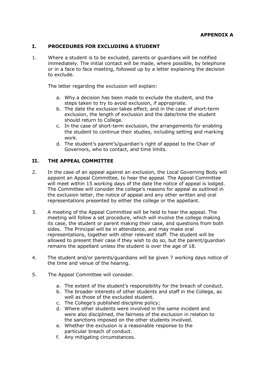## **I. PROCEDURES FOR EXCLUDING A STUDENT**

1. Where a student is to be excluded, parents or guardians will be notified immediately. The initial contact will be made, where possible, by telephone or in a face to face meeting, followed up by a letter explaining the decision to exclude.

The letter regarding the exclusion will explain:

- a. Why a decision has been made to exclude the student, and the steps taken to try to avoid exclusion, if appropriate.
- b. The date the exclusion takes effect, and in the case of short-term exclusion, the length of exclusion and the date/time the student should return to College.
- c. In the case of short-term exclusion, the arrangements for enabling the student to continue their studies, including setting and marking work.
- d. The student's parent's/guardian's right of appeal to the Chair of Governors, who to contact, and time limits.

#### **II. THE APPEAL COMMITTEE**

- 2. In the case of an appeal against an exclusion, the Local Governing Body will appoint an Appeal Committee, to hear the appeal. The Appeal Committee will meet within 15 working days of the date the notice of appeal is lodged. The Committee will consider the college's reasons for appeal as outlined in the exclusion letter, the notice of appeal and any other written and oral representations presented by either the college or the appellant.
- 3. A meeting of the Appeal Committee will be held to hear the appeal. The meeting will follow a set procedure, which will involve the college making its case, the student or parent making their case, and questions from both sides. The Principal will be in attendance, and may make oral representations, together with other relevant staff. The student will be allowed to present their case if they wish to do so, but the parent/guardian remains the appellant unless the student is over the age of 18.
- 4. The student and/or parents/guardians will be given 7 working days notice of the time and venue of the hearing.
- 5. The Appeal Committee will consider.
	- a. The extent of the student's responsibility for the breach of conduct.
	- b. The broader interests of other students and staff in the College, as well as those of the excluded student.
	- c. The College's published discipline policy;
	- d. Where other students were involved in the same incident and were also disciplined, the fairness of the exclusion in relation to the sanctions imposed on the other students involved.
	- e. Whether the exclusion is a reasonable response to the particular breach of conduct.
	- f. Any mitigating circumstances.